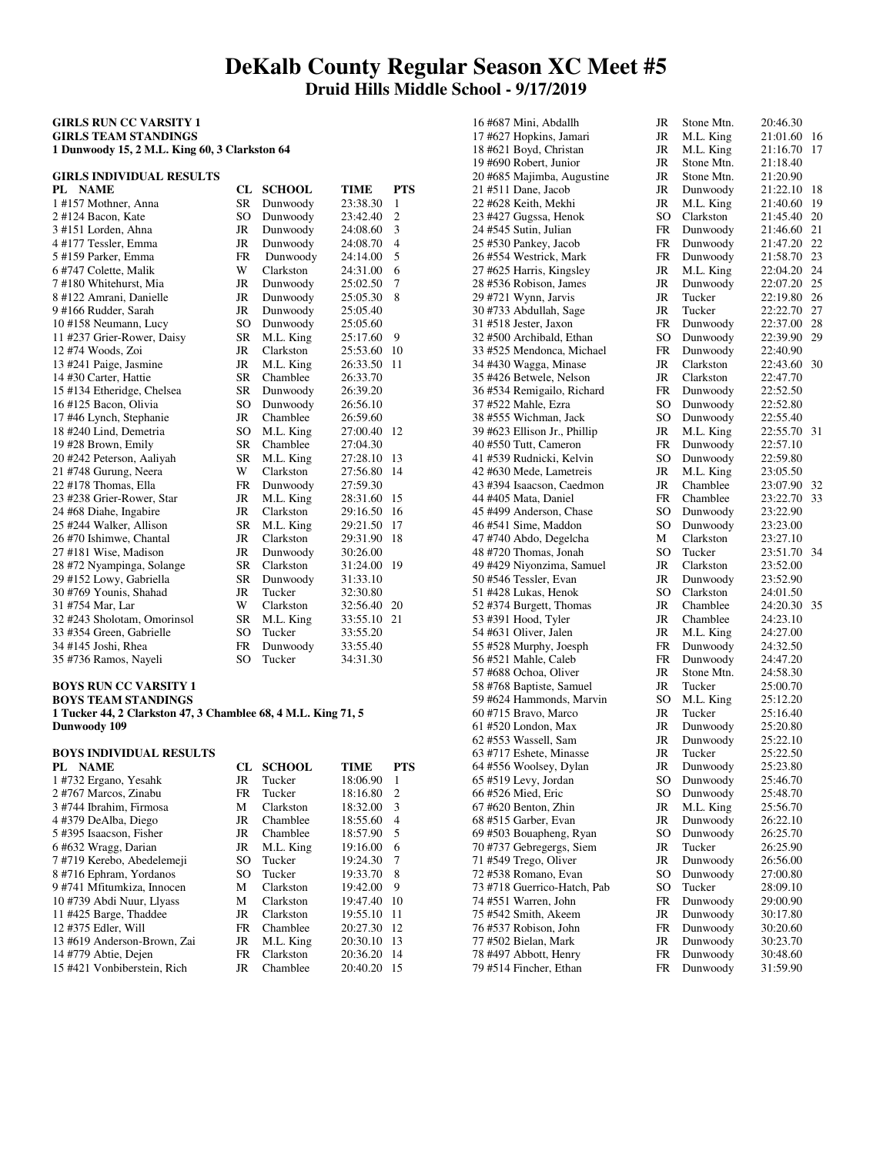# **DeKalb County Regular Season XC Meet #5 Druid Hills Middle School - 9/17/2019**

### **GIRLS RUN CC VARSITY 1 GIRLS TEAM STANDINGS 1 Dunwoody 15, 2 M.L. King 60, 3 Clarkston 64**

### **GIRLS INDIVIDUAL RESULTS**

| PL NAME                     | CL            | <b>SCHOOL</b>    | <b>TIME</b> | <b>PTS</b>     |
|-----------------------------|---------------|------------------|-------------|----------------|
| 1#157 Mothner, Anna         | <b>SR</b>     | Dunwoody         | 23:38.30    | $\mathbf{1}$   |
| 2#124 Bacon, Kate           | SO            | Dunwoody         | 23:42.40    | $\overline{c}$ |
| 3#151 Lorden, Ahna          | JR            | Dunwoody         | 24:08.60    | 3              |
| 4#177 Tessler, Emma         | JR            | Dunwoody         | 24:08.70    | $\overline{4}$ |
| 5#159 Parker, Emma          | <b>FR</b>     | Dunwoody         | 24:14.00    | 5              |
| 6 #747 Colette, Malik       | W             | <b>Clarkston</b> | 24:31.00    | 6              |
| 7#180 Whitehurst, Mia       | JR            | Dunwoody         | 25:02.50    | 7              |
| 8 #122 Amrani, Danielle     | <b>JR</b>     | Dunwoody         | 25:05.30    | 8              |
| 9#166 Rudder, Sarah         | <b>JR</b>     | Dunwoody         | 25:05.40    |                |
| 10 #158 Neumann, Lucy       | SO            | Dunwoody         | 25:05.60    |                |
| 11 #237 Grier-Rower, Daisy  | <b>SR</b>     | M.L. King        | 25:17.60    | 9              |
| 12 #74 Woods, Zoi           | <b>JR</b>     | Clarkston        | 25:53.60    | 10             |
| 13 #241 Paige, Jasmine      | JR            | M.L. King        | 26:33.50    | 11             |
| 14 #30 Carter, Hattie       | <b>SR</b>     | Chamblee         | 26:33.70    |                |
| 15 #134 Etheridge, Chelsea  | <b>SR</b>     | Dunwoody         | 26:39.20    |                |
| 16#125 Bacon, Olivia        | SO            | Dunwoody         | 26:56.10    |                |
| 17 #46 Lynch, Stephanie     | <b>JR</b>     | Chamblee         | 26:59.60    |                |
| 18 #240 Lind, Demetria      | SO            | M.L. King        | 27:00.40    | 12             |
| 19 #28 Brown, Emily         | SR            | Chamblee         | 27:04.30    |                |
| 20 #242 Peterson, Aaliyah   | <b>SR</b>     | M.L. King        | 27:28.10    | 13             |
| 21 #748 Gurung, Neera       | W             | Clarkston        | 27:56.80    | 14             |
| 22 #178 Thomas, Ella        | <b>FR</b>     | Dunwoody         | 27:59.30    |                |
| 23 #238 Grier-Rower, Star   | <b>JR</b>     | M.L. King        | 28:31.60    | 15             |
| 24 #68 Diahe, Ingabire      | <b>JR</b>     | Clarkston        | 29:16.50    | 16             |
| 25 #244 Walker, Allison     | <b>SR</b>     | M.L. King        | 29:21.50    | 17             |
| 26 #70 Ishimwe, Chantal     | <b>JR</b>     | <b>Clarkston</b> | 29:31.90    | 18             |
| 27 #181 Wise, Madison       | <b>JR</b>     | Dunwoody         | 30:26.00    |                |
| 28 #72 Nyampinga, Solange   | <b>SR</b>     | <b>Clarkston</b> | 31:24.00    | 19             |
| 29 #152 Lowy, Gabriella     | <b>SR</b>     | Dunwoody         | 31:33.10    |                |
| 30 #769 Younis, Shahad      | <b>JR</b>     | Tucker           | 32:30.80    |                |
| 31 #754 Mar, Lar            | W             | Clarkston        | 32:56.40    | 20             |
| 32 #243 Sholotam, Omorinsol | <b>SR</b>     | M.L. King        | 33:55.10    | 21             |
| 33 #354 Green, Gabrielle    | SO            | Tucker           | 33:55.20    |                |
| 34 #145 Joshi, Rhea         | FR            | Dunwoody         | 33:55.40    |                |
| 35 #736 Ramos, Nayeli       | <sub>SO</sub> | Tucker           | 34:31.30    |                |

### **BOYS RUN CC VARSITY 1 BOYS TEAM STANDINGS**

**1 Tucker 44, 2 Clarkston 47, 3 Chamblee 68, 4 M.L. King 71, 5 Dunwoody 109** 

## **BOYS INDIVIDUAL RESULTS**

| <b>NAME</b><br>PL.          | CL.       | <b>SCHOOL</b> | <b>TIME</b> | <b>PTS</b>     |
|-----------------------------|-----------|---------------|-------------|----------------|
| 1 #732 Ergano, Yesahk       | JR        | Tucker        | 18:06.90    | 1              |
| 2 #767 Marcos, Zinabu       | <b>FR</b> | Tucker        | 18:16.80    | $\overline{c}$ |
| 3 #744 Ibrahim, Firmosa     | М         | Clarkston     | 18:32.00    | 3              |
| 4#379 DeAlba, Diego         | JR        | Chamblee      | 18:55.60    | $\overline{4}$ |
| 5#395 Isaacson, Fisher      | JR        | Chamblee      | 18:57.90    | 5              |
| 6#632 Wragg, Darian         | JR        | M.L. King     | 19:16.00    | 6              |
| 7#719 Kerebo, Abedelemeji   | SO.       | Tucker        | 19:24.30    | 7              |
| 8#716 Ephram, Yordanos      | SO        | Tucker        | 19:33.70    | 8              |
| 9#741 Mfitumkiza. Innocen   | M         | Clarkston     | 19:42.00    | 9              |
| 10 #739 Abdi Nuur, Llyass   | М         | Clarkston     | 19:47.40    | 10             |
| 11 #425 Barge, Thaddee      | JR        | Clarkston     | 19:55.10    | 11             |
| 12 #375 Edler, Will         | <b>FR</b> | Chamblee      | 20:27.30    | 12             |
| 13 #619 Anderson-Brown, Zai | JR        | M.L. King     | 20:30.10    | 13             |
| 14 #779 Abtie, Dejen        | <b>FR</b> | Clarkston     | 20:36.20    | 14             |
| 15 #421 Vonbiberstein, Rich | JR        | Chamblee      | 20:40.20    | 15             |

|  | 16 #687 Mini, Abdallh                         | JR        | Stone Mtn.           | 20:46.30             |
|--|-----------------------------------------------|-----------|----------------------|----------------------|
|  | 17 #627 Hopkins, Jamari                       | JR        | M.L. King            | 21:01.60             |
|  | 18 #621 Boyd, Christan                        | JR        | M.L. King            | 21:16.70             |
|  | 19 #690 Robert, Junior                        | JR        | Stone Mtn.           | 21:18.40             |
|  | 20 #685 Majimba, Augustine                    | JR        | Stone Mtn.           | 21:20.90             |
|  | 21 #511 Dane, Jacob                           | JR        | Dunwoody             | 21:22.10             |
|  | 22 #628 Keith, Mekhi                          | JR        | M.L. King            | 21:40.60             |
|  | 23 #427 Gugssa, Henok                         | SO.       | Clarkston            | 21:45.40             |
|  | 24 #545 Sutin, Julian                         | <b>FR</b> | Dunwoody             | 21:46.60             |
|  | 25 #530 Pankey, Jacob                         | FR        | Dunwoody             | 21:47.20             |
|  | 26 #554 Westrick, Mark                        | <b>FR</b> | Dunwoody             | 21:58.70             |
|  | 27 #625 Harris, Kingsley                      | <b>JR</b> | M.L. King            | 22:04.20             |
|  | 28 #536 Robison, James                        | JR        | Dunwoody             | 22:07.20             |
|  | 29 #721 Wynn, Jarvis                          | JR        | Tucker               | 22:19.80             |
|  | 30 #733 Abdullah, Sage                        | JR        | Tucker               | 22:22.70             |
|  | 31 #518 Jester, Jaxon                         | <b>FR</b> | Dunwoody             | 22:37.00             |
|  | 32 #500 Archibald, Ethan                      | SO        | Dunwoody             | 22:39.90             |
|  | 33 #525 Mendonca, Michael                     | FR        | Dunwoody             | 22:40.90             |
|  | 34 #430 Wagga, Minase                         | JR        | Clarkston            | 22:43.60             |
|  |                                               | JR        | Clarkston            |                      |
|  | 35 #426 Betwele, Nelson                       |           |                      | 22:47.70             |
|  | 36 #534 Remigailo, Richard                    | FR        | Dunwoody             | 22:52.50             |
|  | 37 #522 Mahle, Ezra                           | SO        | Dunwoody             | 22:52.80             |
|  | 38 #555 Wichman, Jack                         | SO        | Dunwoody             | 22:55.40             |
|  | 39 #623 Ellison Jr., Phillip                  | JR        | M.L. King            | 22:55.70             |
|  | 40 #550 Tutt, Cameron                         | <b>FR</b> | Dunwoody             | 22:57.10             |
|  | 41 #539 Rudnicki, Kelvin                      | SO        | Dunwoody             | 22:59.80             |
|  | 42 #630 Mede, Lametreis                       | <b>JR</b> | M.L. King            | 23:05.50             |
|  | 43 #394 Isaacson, Caedmon                     | JR        | Chamblee             | 23:07.90             |
|  | 44 #405 Mata, Daniel                          | <b>FR</b> | Chamblee             | 23:22.70             |
|  | 45 #499 Anderson, Chase                       | SO        | Dunwoody             | 23:22.90             |
|  | 46 #541 Sime, Maddon                          | SO        | Dunwoody             | 23:23.00             |
|  | 47 #740 Abdo, Degelcha                        | М         | Clarkston            | 23:27.10             |
|  | 48 #720 Thomas, Jonah                         | SO        | Tucker               | 23:51.70             |
|  | 49 #429 Niyonzima, Samuel                     | JR        | Clarkston            | 23:52.00             |
|  | 50 #546 Tessler, Evan                         | JR        | Dunwoody             | 23:52.90             |
|  | 51 #428 Lukas, Henok                          | SO        | Clarkston            | 24:01.50             |
|  | 52 #374 Burgett, Thomas                       | JR        | Chamblee             | 24:20.30             |
|  | 53 #391 Hood, Tyler                           | JR        | Chamblee             | 24:23.10             |
|  | 54 #631 Oliver, Jalen                         | JR        | M.L. King            | 24:27.00             |
|  | 55 #528 Murphy, Joesph                        | FR        | Dunwoody             | 24:32.50             |
|  | 56 #521 Mahle, Caleb                          | <b>FR</b> | Dunwoody             | 24:47.20             |
|  | 57 #688 Ochoa, Oliver                         | JR        | Stone Mtn.           | 24:58.30             |
|  | 58 #768 Baptiste, Samuel                      | JR        | Tucker               | 25:00.70             |
|  | 59 #624 Hammonds, Marvin                      | SO        | M.L. King            | 25:12.20             |
|  | 60 #715 Bravo, Marco                          | JR        | Tucker               | 25:16.40             |
|  | 61 #520 London, Max                           | JR        | Dunwoody             | 25:20.80             |
|  | 62 #553 Wassell, Sam                          | JR        | Dunwoody             | 25:22.10             |
|  | 63 #717 Eshete, Minasse                       | JR        | Tucker               | 25:22.50             |
|  | 64 #556 Woolsey, Dylan                        | JR        | Dunwoody             | 25:23.80             |
|  | 65#519 Levy, Jordan                           | SO        | Dunwoody             | 25:46.70             |
|  | 66 #526 Mied, Eric                            | SO        | Dunwoody             | 25:48.70             |
|  | 67 #620 Benton, Zhin                          | JR        | M.L. King            | 25:56.70             |
|  | 68 #515 Garber, Evan                          | JR        | Dunwoody             | 26:22.10             |
|  | 69 #503 Bouapheng, Ryan                       | SO        | Dunwoody             | 26:25.70             |
|  | 70 #737 Gebregergs, Siem                      | JR        | Tucker               | 26:25.90             |
|  |                                               | JR        |                      |                      |
|  | 71 #549 Trego, Oliver<br>72 #538 Romano, Evan | SO        | Dunwoody<br>Dunwoody | 26:56.00<br>27:00.80 |
|  | 73 #718 Guerrico-Hatch, Pab                   | SO        |                      |                      |
|  | 74 #551 Warren, John                          | FR        | Tucker               | 28:09.10             |
|  |                                               | JR        | Dunwoody             | 29:00.90             |
|  | 75 #542 Smith, Akeem                          |           | Dunwoody             | 30:17.80             |
|  | 76 #537 Robison, John                         | FR        | Dunwoody<br>Dunwoody | 30:20.60             |
|  | 77 #502 Bielan, Mark                          | JR        |                      | 30:23.70             |
|  | 78 #497 Abbott, Henry                         | FR        | Dunwoody             | 30:48.60             |

| 16 #687 Mini, Abdallh        | JR        | Stone Mtn. | 20:46.30 |    |
|------------------------------|-----------|------------|----------|----|
| 17 #627 Hopkins, Jamari      | JR        | M.L. King  | 21:01.60 | 16 |
| 18 #621 Boyd, Christan       | JR        | M.L. King  | 21:16.70 | 17 |
| 19 #690 Robert, Junior       | JR        | Stone Mtn. | 21:18.40 |    |
| 20 #685 Majimba, Augustine   | JR        | Stone Mtn. | 21:20.90 |    |
| 21 #511 Dane, Jacob          | JR        | Dunwoody   | 21:22.10 | 18 |
| 22 #628 Keith, Mekhi         | JR        | M.L. King  | 21:40.60 | 19 |
| 23 #427 Gugssa, Henok        | SO        | Clarkston  | 21:45.40 | 20 |
| 24 #545 Sutin, Julian        | <b>FR</b> | Dunwoody   | 21:46.60 | 21 |
| 25 #530 Pankey, Jacob        | FR        | Dunwoody   | 21:47.20 | 22 |
| 26 #554 Westrick, Mark       | FR        | Dunwoody   | 21:58.70 | 23 |
| 27 #625 Harris, Kingsley     | JR        | M.L. King  | 22:04.20 | 24 |
| 28 #536 Robison, James       | JR        | Dunwoody   | 22:07.20 | 25 |
| 29 #721 Wynn, Jarvis         | JR        | Tucker     | 22:19.80 | 26 |
| 30 #733 Abdullah, Sage       | JR        | Tucker     | 22:22.70 | 27 |
| 31 #518 Jester, Jaxon        | <b>FR</b> | Dunwoody   | 22:37.00 | 28 |
| 32 #500 Archibald, Ethan     | SO        | Dunwoody   | 22:39.90 | 29 |
| 33 #525 Mendonca, Michael    | <b>FR</b> | Dunwoody   | 22:40.90 |    |
| 34 #430 Wagga, Minase        | JR        | Clarkston  | 22:43.60 | 30 |
| 35 #426 Betwele, Nelson      | JR        | Clarkston  | 22:47.70 |    |
| 36 #534 Remigailo, Richard   | FR        | Dunwoody   | 22:52.50 |    |
| 37 #522 Mahle, Ezra          | SO        | Dunwoody   | 22:52.80 |    |
| 38 #555 Wichman, Jack        | SO        | Dunwoody   | 22:55.40 |    |
| 39 #623 Ellison Jr., Phillip | JR        | M.L. King  | 22:55.70 | 31 |
| 40 #550 Tutt, Cameron        | <b>FR</b> | Dunwoody   | 22:57.10 |    |
| 41 #539 Rudnicki, Kelvin     | SO        | Dunwoody   | 22:59.80 |    |
| 42 #630 Mede, Lametreis      | JR        | M.L. King  | 23:05.50 |    |
| 43 #394 Isaacson, Caedmon    | JR        | Chamblee   | 23:07.90 | 32 |
| 44 #405 Mata, Daniel         | FR        | Chamblee   | 23:22.70 | 33 |
| 45 #499 Anderson, Chase      | SO        | Dunwoody   | 23:22.90 |    |
| 46 #541 Sime, Maddon         | SO        | Dunwoody   | 23:23.00 |    |
| 47 #740 Abdo, Degelcha       | М         | Clarkston  | 23:27.10 |    |
| 48 #720 Thomas, Jonah        | SO        | Tucker     | 23:51.70 | 34 |
| 49 #429 Niyonzima, Samuel    | JR        | Clarkston  | 23:52.00 |    |
| 50 #546 Tessler, Evan        | JR        | Dunwoody   | 23:52.90 |    |
| 51 #428 Lukas, Henok         | SO        | Clarkston  | 24:01.50 |    |
| 52 #374 Burgett, Thomas      | JR        | Chamblee   | 24:20.30 | 35 |
| 53 #391 Hood, Tyler          | JR        | Chamblee   | 24:23.10 |    |
| 54 #631 Oliver, Jalen        | JR        | M.L. King  | 24:27.00 |    |
| 55 #528 Murphy, Joesph       | FR        | Dunwoody   | 24:32.50 |    |
| 56#521 Mahle, Caleb          | FR        | Dunwoody   | 24:47.20 |    |
| 57 #688 Ochoa, Oliver        | JR        | Stone Mtn. | 24:58.30 |    |
| 58 #768 Baptiste, Samuel     | JR        | Tucker     | 25:00.70 |    |
| 59 #624 Hammonds, Marvin     | SO.       | M.L. King  | 25:12.20 |    |
| 60 #715 Bravo, Marco         | JR        | Tucker     | 25:16.40 |    |
| 61 #520 London, Max          | JR        | Dunwoody   | 25:20.80 |    |
| 62 #553 Wassell, Sam         | JR        | Dunwoody   | 25:22.10 |    |
| 63 #717 Eshete, Minasse      | JR        | Tucker     | 25:22.50 |    |
| 64 #556 Woolsey, Dylan       | JR        | Dunwoody   | 25:23.80 |    |
| 65 #519 Levy, Jordan         | SO        | Dunwoody   | 25:46.70 |    |
| 66 #526 Mied, Eric           | SO        | Dunwoody   | 25:48.70 |    |
| 67 #620 Benton, Zhin         | JR        | M.L. King  | 25:56.70 |    |
| 68 #515 Garber, Evan         | JR        | Dunwoody   | 26:22.10 |    |
| 69 #503 Bouapheng, Ryan      | SO        | Dunwoody   | 26:25.70 |    |
| 70 #737 Gebregergs, Siem     | JR        | Tucker     | 26:25.90 |    |
| 71 #549 Trego, Oliver        | JR        | Dunwoody   | 26:56.00 |    |
| 72 #538 Romano, Evan         | SO        | Dunwoody   | 27:00.80 |    |
| 73 #718 Guerrico-Hatch, Pab  | SO        | Tucker     | 28:09.10 |    |
| 74 #551 Warren, John         | FR        | Dunwoody   | 29:00.90 |    |
| 75 #542 Smith, Akeem         | JR        | Dunwoody   | 30:17.80 |    |
| 76 #537 Robison, John        | FR        | Dunwoody   | 30:20.60 |    |
| 77 #502 Bielan, Mark         | JR        | Dunwoody   | 30:23.70 |    |
| 78 #497 Abbott, Henry        | <b>FR</b> | Dunwoody   | 30:48.60 |    |
| 79 #514 Fincher, Ethan       | FR        | Dunwoody   | 31:59.90 |    |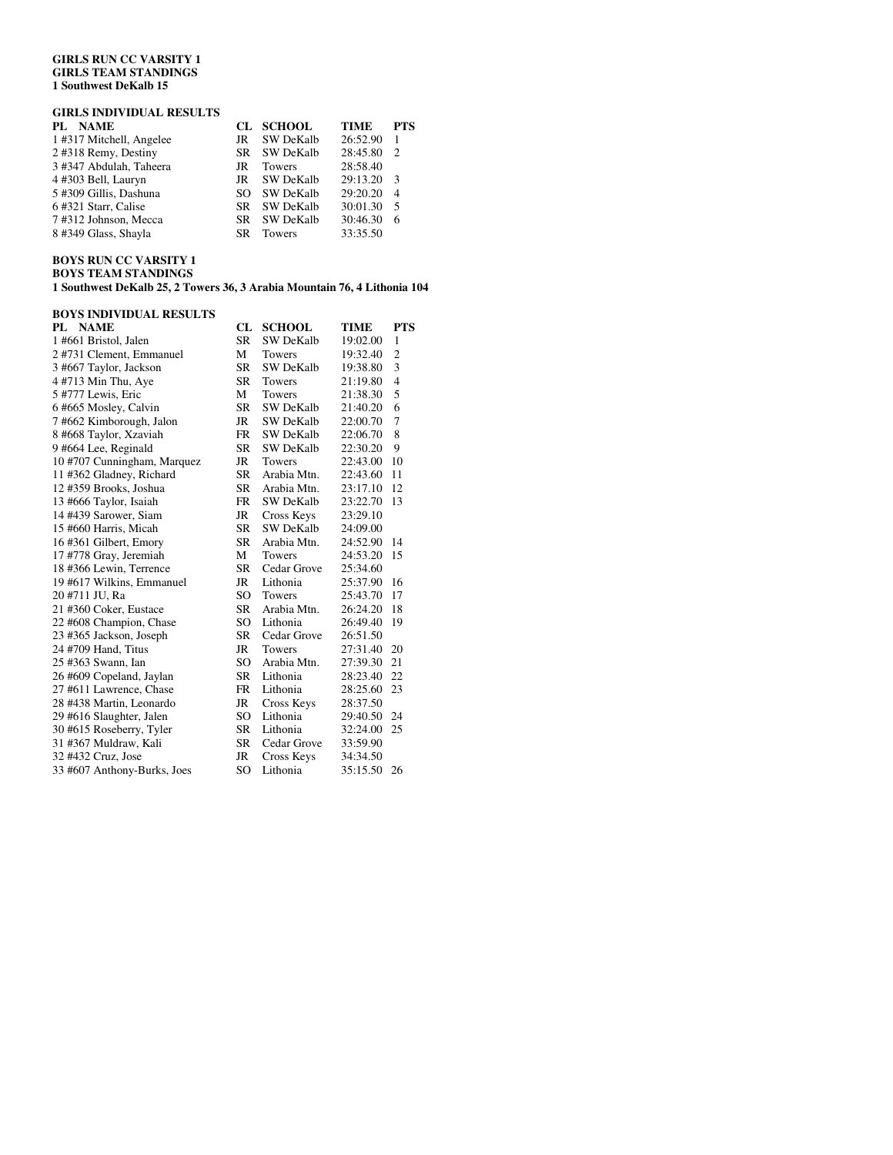### **GIRLS RUN CC VARSITY 1 GIRLS TEAM STANDINGS 1 Southwest DeKalb 15**

# **GIRLS INDIVIDUAL RESULTS**

| <b>NAME</b><br>PL.      |     | CL SCHOOL        | <b>TIME</b> | <b>PTS</b>     |
|-------------------------|-----|------------------|-------------|----------------|
| 1#317 Mitchell, Angelee | JR  | <b>SW DeKalb</b> | 26:52.90    |                |
| 2 #318 Remy, Destiny    | SR. | SW DeKalb        | 28:45.80    | $\mathcal{L}$  |
| 3 #347 Abdulah, Taheera | JR  | <b>Towers</b>    | 28:58.40    |                |
| 4 #303 Bell, Lauryn     | JR  | SW DeKalb        | 29:13.20    | $\mathbf{3}$   |
| 5 #309 Gillis, Dashuna  | SO. | <b>SW DeKalb</b> | 29:20.20    | $\overline{4}$ |
| 6#321 Starr, Calise     | SR. | <b>SW DeKalb</b> | 30:01.30    | - 5            |
| 7#312 Johnson, Mecca    | SR. | SW DeKalb        | 30:46.30    | 6              |
| 8 #349 Glass, Shayla    | SR. | <b>Towers</b>    | 33:35.50    |                |
|                         |     |                  |             |                |

### **BOYS RUN CC VARSITY 1 BOYS TEAM STANDINGS**

**1 Southwest DeKalb 25, 2 Towers 36, 3 Arabia Mountain 76, 4 Lithonia 104** 

| <b>BOYS INDIVIDUAL RESULTS</b> |           |                  |          |                |  |
|--------------------------------|-----------|------------------|----------|----------------|--|
| PL NAME                        | CL.       | <b>SCHOOL</b>    | TIME     | <b>PTS</b>     |  |
| 1 #661 Bristol, Jalen          | <b>SR</b> | <b>SW DeKalb</b> | 19:02.00 | 1              |  |
| 2 #731 Clement, Emmanuel       | М         | Towers           | 19:32.40 | $\overline{2}$ |  |
| 3 #667 Taylor, Jackson         | <b>SR</b> | <b>SW DeKalb</b> | 19:38.80 | 3              |  |
| 4 #713 Min Thu, Aye            | <b>SR</b> | <b>Towers</b>    | 21:19.80 | $\overline{4}$ |  |
| 5 #777 Lewis, Eric             | M         | <b>Towers</b>    | 21:38.30 | 5              |  |
| 6#665 Mosley, Calvin           | <b>SR</b> | SW DeKalb        | 21:40.20 | 6              |  |
| 7#662 Kimborough, Jalon        | <b>JR</b> | <b>SW DeKalb</b> | 22:00.70 | 7              |  |
| 8 #668 Taylor, Xzaviah         | <b>FR</b> | <b>SW DeKalb</b> | 22:06.70 | 8              |  |
| 9 #664 Lee, Reginald           | <b>SR</b> | <b>SW DeKalb</b> | 22:30.20 | 9              |  |
| 10 #707 Cunningham, Marquez    | JR        | Towers           | 22:43.00 | 10             |  |
| 11 #362 Gladney, Richard       | <b>SR</b> | Arabia Mtn.      | 22:43.60 | 11             |  |
| 12 #359 Brooks, Joshua         | <b>SR</b> | Arabia Mtn.      | 23:17.10 | 12             |  |
| 13 #666 Taylor, Isaiah         | <b>FR</b> | <b>SW DeKalb</b> | 23:22.70 | 13             |  |
| 14 #439 Sarower, Siam          | <b>JR</b> | Cross Keys       | 23:29.10 |                |  |
| 15 #660 Harris, Micah          | <b>SR</b> | <b>SW DeKalb</b> | 24:09.00 |                |  |
| 16#361 Gilbert, Emory          | <b>SR</b> | Arabia Mtn.      | 24:52.90 | 14             |  |
| 17 #778 Gray, Jeremiah         | M         | <b>Towers</b>    | 24:53.20 | 15             |  |
| 18 #366 Lewin, Terrence        | <b>SR</b> | Cedar Grove      | 25:34.60 |                |  |
| 19 #617 Wilkins, Emmanuel      | JR        | Lithonia         | 25:37.90 | 16             |  |
| 20 #711 JU, Ra                 | SO        | Towers           | 25:43.70 | 17             |  |
| 21 #360 Coker, Eustace         | <b>SR</b> | Arabia Mtn.      | 26:24.20 | 18             |  |
| 22 #608 Champion, Chase        | SO        | Lithonia         | 26:49.40 | 19             |  |
| 23 #365 Jackson, Joseph        | <b>SR</b> | Cedar Grove      | 26:51.50 |                |  |
| 24 #709 Hand, Titus            | JR        | <b>Towers</b>    | 27:31.40 | 20             |  |
| 25 #363 Swann, Ian             | SO        | Arabia Mtn.      | 27:39.30 | 21             |  |
| 26 #609 Copeland, Jaylan       | <b>SR</b> | Lithonia         | 28:23.40 | 22             |  |
| 27 #611 Lawrence, Chase        | <b>FR</b> | Lithonia         | 28:25.60 | 23             |  |
| 28 #438 Martin, Leonardo       | <b>JR</b> | Cross Keys       | 28:37.50 |                |  |
| 29 #616 Slaughter, Jalen       | SO        | Lithonia         | 29:40.50 | 24             |  |
| 30 #615 Roseberry, Tyler       | <b>SR</b> | Lithonia         | 32:24.00 | 25             |  |
| 31 #367 Muldraw, Kali          | <b>SR</b> | Cedar Grove      | 33:59.90 |                |  |
| 32 #432 Cruz, Jose             | <b>JR</b> | Cross Keys       | 34:34.50 |                |  |
| 33 #607 Anthony-Burks, Joes    | SO        | Lithonia         | 35:15.50 | 26             |  |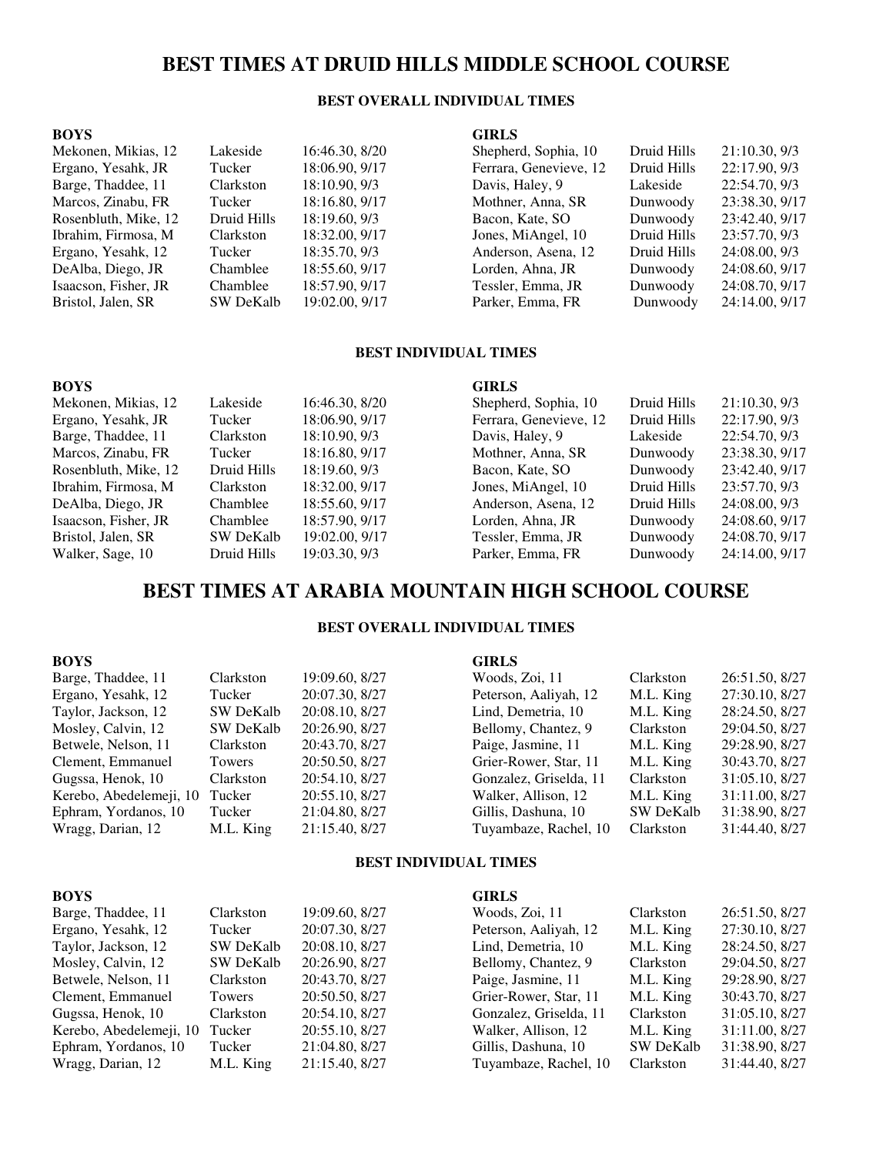# **BEST TIMES AT DRUID HILLS MIDDLE SCHOOL COURSE**

## **BEST OVERALL INDIVIDUAL TIMES**

#### **BOYS**  Mekonen, Mikias, 12 Lakeside 16:46.30, 8/20 Ergano, Yesahk, JR Tucker 18:06.90, 9/17 Barge, Thaddee, 11 Clarkston 18:10.90, 9/3 Marcos, Zinabu, FR Tucker 18:16.80, 9/17 Rosenbluth, Mike, 12 Druid Hills 18:19.60, 9/3 Ibrahim, Firmosa, M Clarkston 18:32.00, 9/17 Ergano, Yesahk, 12 Tucker 18:35.70, 9/3 DeAlba, Diego, JR Chamblee 18:55.60, 9/17 Isaacson, Fisher, JR Chamblee 18:57.90, 9/17 Bristol, Jalen, SR SW DeKalb 19:02.00, 9/17 **GIRLS**  Shepherd, Sophia, 10 Druid Hills 21:10.30, 9/3 Ferrara, Genevieve, 12 Druid Hills 22:17.90, 9/3 Davis, Haley, 9 Lakeside 22:54.70, 9/3 Mothner, Anna, SR Dunwoody 23:38.30, 9/17 Bacon, Kate, SO Dunwoody 23:42.40, 9/17 Jones, MiAngel, 10 Druid Hills 23:57.70, 9/3 Anderson, Asena, 12 Druid Hills 24:08.00, 9/3 Lorden, Ahna, JR Dunwoody 24:08.60, 9/17 Tessler, Emma, JR Dunwoody 24:08.70, 9/17 Parker, Emma, FR Dunwoody 24:14.00, 9/17

## **BEST INDIVIDUAL TIMES**

#### **BOYS**  Mekonen, Mikias, 12 Lakeside 16:46.30, 8/20 Ergano, Yesahk, JR Tucker 18:06.90, 9/17 Barge, Thaddee, 11 Clarkston 18:10.90, 9/3 Marcos, Zinabu, FR Tucker 18:16.80, 9/17 Rosenbluth, Mike, 12 Druid Hills 18:19.60, 9/3 Ibrahim, Firmosa, M Clarkston 18:32.00, 9/17 DeAlba, Diego, JR Chamblee 18:55.60, 9/17 Isaacson, Fisher, JR<br>Bristol, Jalen, SR<br>SW DeKalb 19:02.00, 9/17 Bristol, Jalen, SR SW DeKalb 19:02.00, 9/17 Walker, Sage, 10 Druid Hills 19:03.30, 9/3 **GIRLS**  Shepherd, Sophia, 10 Druid Hills 21:10.30, 9/3 Ferrara, Genevieve, 12 Druid Hills 22:17.90, 9/3 Davis, Haley, 9 Lakeside 22:54.70, 9/3 Mothner, Anna, SR Dunwoody 23:38.30, 9/17 Bacon, Kate, SO Dunwoody 23:42.40, 9/17 Jones, MiAngel, 10 Druid Hills 23:57.70, 9/3 Anderson, Asena, 12 Druid Hills 24:08.00, 9/3 Lorden, Ahna, JR Dunwoody 24:08.60, 9/17 Tessler, Emma, JR Dunwoody 24:08.70, 9/17 Parker, Emma, FR Dunwoody 24:14.00, 9/17

# **BEST TIMES AT ARABIA MOUNTAIN HIGH SCHOOL COURSE**

## **BEST OVERALL INDIVIDUAL TIMES**

| <b>BOYS</b>             |                  |                | <b>GIRLS</b>           |                  |                |
|-------------------------|------------------|----------------|------------------------|------------------|----------------|
| Barge, Thaddee, 11      | Clarkston        | 19:09.60, 8/27 | Woods, Zoi, 11         | Clarkston        | 26:51.50, 8/27 |
| Ergano, Yesahk, 12      | Tucker           | 20:07.30, 8/27 | Peterson, Aaliyah, 12  | M.L. King        | 27:30.10, 8/27 |
| Taylor, Jackson, 12     | <b>SW DeKalb</b> | 20:08.10, 8/27 | Lind, Demetria, 10     | M.L. King        | 28:24.50, 8/27 |
| Mosley, Calvin, 12      | <b>SW DeKalb</b> | 20:26.90, 8/27 | Bellomy, Chantez, 9    | Clarkston        | 29:04.50, 8/27 |
| Betwele, Nelson, 11     | Clarkston        | 20:43.70, 8/27 | Paige, Jasmine, 11     | M.L. King        | 29:28.90, 8/27 |
| Clement, Emmanuel       | Towers           | 20:50.50, 8/27 | Grier-Rower, Star, 11  | M.L. King        | 30:43.70, 8/27 |
| Gugssa, Henok, 10       | Clarkston        | 20:54.10, 8/27 | Gonzalez, Griselda, 11 | Clarkston        | 31:05.10, 8/27 |
| Kerebo, Abedelemeji, 10 | Tucker           | 20:55.10, 8/27 | Walker, Allison, 12    | M.L. King        | 31:11.00, 8/27 |
| Ephram, Yordanos, 10    | Tucker           | 21:04.80, 8/27 | Gillis, Dashuna, 10    | <b>SW DeKalb</b> | 31:38.90, 8/27 |
| Wragg, Darian, 12       | M.L. King        | 21:15.40, 8/27 | Tuyambaze, Rachel, 10  | Clarkston        | 31:44.40, 8/27 |
|                         |                  |                |                        |                  |                |

### **BEST INDIVIDUAL TIMES**

| <b>BOYS</b>             |                  |                | <b>GIRLS</b>           |                  |                |
|-------------------------|------------------|----------------|------------------------|------------------|----------------|
| Barge, Thaddee, 11      | Clarkston        | 19:09.60, 8/27 | Woods, Zoi, 11         | Clarkston        | 26:51.50, 8/27 |
| Ergano, Yesahk, 12      | Tucker           | 20:07.30, 8/27 | Peterson, Aaliyah, 12  | M.L. King        | 27:30.10, 8/27 |
| Taylor, Jackson, 12     | SW DeKalb        | 20:08.10, 8/27 | Lind, Demetria, 10     | M.L. King        | 28:24.50, 8/27 |
| Mosley, Calvin, 12      | <b>SW DeKalb</b> | 20:26.90, 8/27 | Bellomy, Chantez, 9    | Clarkston        | 29:04.50, 8/27 |
| Betwele, Nelson, 11     | Clarkston        | 20:43.70, 8/27 | Paige, Jasmine, 11     | M.L. King        | 29:28.90, 8/27 |
| Clement, Emmanuel       | Towers           | 20:50.50, 8/27 | Grier-Rower, Star, 11  | M.L. King        | 30:43.70, 8/27 |
| Gugssa, Henok, 10       | Clarkston        | 20:54.10, 8/27 | Gonzalez, Griselda, 11 | Clarkston        | 31:05.10, 8/27 |
| Kerebo, Abedelemeji, 10 | Tucker           | 20:55.10, 8/27 | Walker, Allison, 12    | M.L. King        | 31:11.00, 8/27 |
| Ephram, Yordanos, 10    | Tucker           | 21:04.80, 8/27 | Gillis, Dashuna, 10    | <b>SW DeKalb</b> | 31:38.90, 8/27 |
| Wragg, Darian, 12       | M.L. King        | 21:15.40, 8/27 | Tuyambaze, Rachel, 10  | Clarkston        | 31:44.40, 8/27 |